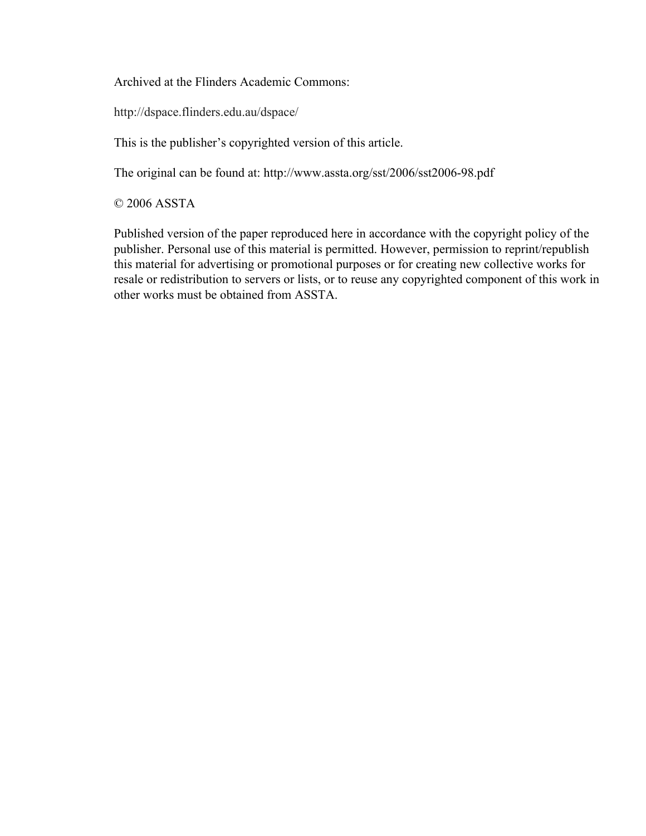Archived at the Flinders Academic Commons:

http://dspace.flinders.edu.au/dspace/

This is the publisher's copyrighted version of this article.

The original can be found at: http://www.assta.org/sst/2006/sst2006-98.pdf

© 2006 ASSTA

Published version of the paper reproduced here in accordance with the copyright policy of the publisher. Personal use of this material is permitted. However, permission to reprint/republish this material for advertising or promotional purposes or for creating new collective works for resale or redistribution to servers or lists, or to reuse any copyrighted component of this work in other works must be obtained from ASSTA.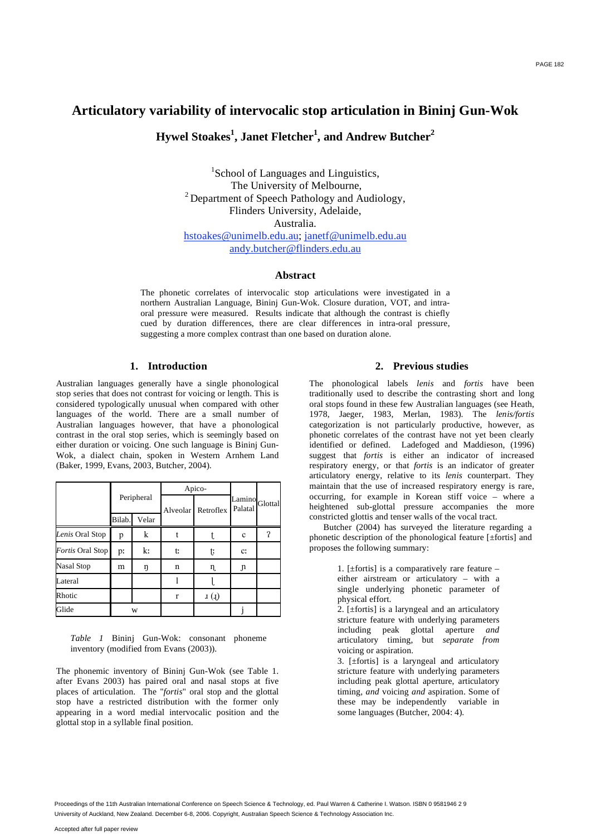# **Articulatory variability of intervocalic stop articulation in Bininj Gun-Wok**

Hywel Stoakes<sup>1</sup>, Janet Fletcher<sup>1</sup>, and Andrew Butcher<sup>2</sup>

<sup>1</sup>School of Languages and Linguistics, The University of Melbourne,  $2$  Department of Speech Pathology and Audiology, Flinders University, Adelaide, Australia. hstoakes@unimelb.edu.au; janetf@unimelb.edu.au

andy.butcher@flinders.edu.au

# **Abstract**

The phonetic correlates of intervocalic stop articulations were investigated in a northern Australian Language, Bininj Gun-Wok. Closure duration, VOT, and intraoral pressure were measured. Results indicate that although the contrast is chiefly cued by duration differences, there are clear differences in intra-oral pressure, suggesting a more complex contrast than one based on duration alone.

# **1. Introduction**

Australian languages generally have a single phonological stop series that does not contrast for voicing or length. This is considered typologically unusual when compared with other languages of the world. There are a small number of Australian languages however, that have a phonological contrast in the oral stop series, which is seemingly based on either duration or voicing. One such language is Bininj Gun-Wok, a dialect chain, spoken in Western Arnhem Land (Baker, 1999, Evans, 2003, Butcher, 2004).

|                  | Peripheral |       | Apico-   |                  |                           |   |
|------------------|------------|-------|----------|------------------|---------------------------|---|
|                  |            |       | Alveolar | Retroflex        | Lamino Glottal<br>Palatal |   |
|                  | Bilab.     | Velar |          |                  |                           |   |
| Lenis Oral Stop  | p          | k     |          |                  | $\mathbf{c}$              | ? |
| Fortis Oral Stop | p:         | k:    | t:       | t                | C <sub>i</sub>            |   |
| Nasal Stop       | m          | ŋ     | n        | η.               | Jı                        |   |
| Lateral          |            |       |          |                  |                           |   |
| Rhotic           |            |       | r        | 1 <sub>(1)</sub> |                           |   |
| Glide            | W          |       |          |                  |                           |   |

*Table 1* Bininj Gun-Wok: consonant phoneme inventory (modified from Evans (2003)).

The phonemic inventory of Bininj Gun-Wok (see Table 1. after Evans 2003) has paired oral and nasal stops at five places of articulation. The "*fortis*" oral stop and the glottal stop have a restricted distribution with the former only appearing in a word medial intervocalic position and the glottal stop in a syllable final position.

# **2. Previous studies**

The phonological labels *lenis* and *fortis* have been traditionally used to describe the contrasting short and long oral stops found in these few Australian languages (see Heath, 1978, Jaeger, 1983, Merlan, 1983). The *lenis/fortis* categorization is not particularly productive, however, as phonetic correlates of the contrast have not yet been clearly identified or defined. Ladefoged and Maddieson, (1996) suggest that *fortis* is either an indicator of increased respiratory energy, or that *fortis* is an indicator of greater articulatory energy, relative to its *lenis* counterpart. They maintain that the use of increased respiratory energy is rare, occurring, for example in Korean stiff voice – where a heightened sub-glottal pressure accompanies the more constricted glottis and tenser walls of the vocal tract.

Butcher (2004) has surveyed the literature regarding a phonetic description of the phonological feature [±fortis] and proposes the following summary:

> 1. [ $\pm$ fortis] is a comparatively rare feature – either airstream or articulatory – with a single underlying phonetic parameter of physical effort.

> 2. [±fortis] is a laryngeal and an articulatory stricture feature with underlying parameters including peak glottal aperture *and* articulatory timing, but *separate from* voicing or aspiration.

> 3. [±fortis] is a laryngeal and articulatory stricture feature with underlying parameters including peak glottal aperture, articulatory timing, *and* voicing *and* aspiration. Some of these may be independently variable in some languages (Butcher, 2004: 4).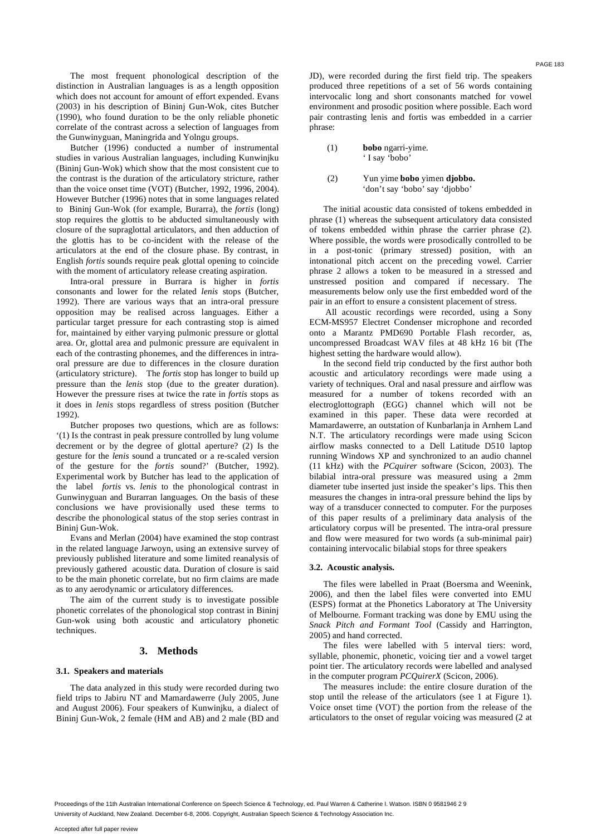The most frequent phonological description of the distinction in Australian languages is as a length opposition which does not account for amount of effort expended. Evans (2003) in his description of Bininj Gun-Wok, cites Butcher (1990), who found duration to be the only reliable phonetic correlate of the contrast across a selection of languages from the Gunwinyguan, Maningrida and Yolngu groups.

Butcher (1996) conducted a number of instrumental studies in various Australian languages, including Kunwinjku (Bininj Gun-Wok) which show that the most consistent cue to the contrast is the duration of the articulatory stricture, rather than the voice onset time (VOT) (Butcher, 1992, 1996, 2004). However Butcher (1996) notes that in some languages related to Bininj Gun-Wok (for example, Burarra), the *fortis* (long) stop requires the glottis to be abducted simultaneously with closure of the supraglottal articulators, and then adduction of the glottis has to be co-incident with the release of the articulators at the end of the closure phase. By contrast, in English *fortis* sounds require peak glottal opening to coincide with the moment of articulatory release creating aspiration.

Intra-oral pressure in Burrara is higher in *fortis* consonants and lower for the related *lenis* stops (Butcher, 1992). There are various ways that an intra-oral pressure opposition may be realised across languages. Either a particular target pressure for each contrasting stop is aimed for, maintained by either varying pulmonic pressure or glottal area. Or, glottal area and pulmonic pressure are equivalent in each of the contrasting phonemes, and the differences in intraoral pressure are due to differences in the closure duration (articulatory stricture). The *fortis* stop has longer to build up pressure than the *lenis* stop (due to the greater duration). However the pressure rises at twice the rate in *fortis* stops as it does in *lenis* stops regardless of stress position (Butcher 1992).

Butcher proposes two questions, which are as follows: '(1) Is the contrast in peak pressure controlled by lung volume decrement or by the degree of glottal aperture? (2) Is the gesture for the *lenis* sound a truncated or a re-scaled version of the gesture for the *fortis* sound?' (Butcher, 1992). Experimental work by Butcher has lead to the application of the label *fortis* vs. *lenis* to the phonological contrast in Gunwinyguan and Burarran languages*.* On the basis of these conclusions we have provisionally used these terms to describe the phonological status of the stop series contrast in Bininj Gun-Wok.

Evans and Merlan (2004) have examined the stop contrast in the related language Jarwoyn, using an extensive survey of previously published literature and some limited reanalysis of previously gathered acoustic data. Duration of closure is said to be the main phonetic correlate, but no firm claims are made as to any aerodynamic or articulatory differences.

The aim of the current study is to investigate possible phonetic correlates of the phonological stop contrast in Bininj Gun-wok using both acoustic and articulatory phonetic techniques.

# **3. Methods**

#### **3.1. Speakers and materials**

The data analyzed in this study were recorded during two field trips to Jabiru NT and Mamardawerre (July 2005, June and August 2006). Four speakers of Kunwinjku, a dialect of Bininj Gun-Wok, 2 female (HM and AB) and 2 male (BD and JD), were recorded during the first field trip. The speakers produced three repetitions of a set of 56 words containing intervocalic long and short consonants matched for vowel environment and prosodic position where possible. Each word pair contrasting lenis and fortis was embedded in a carrier phrase:

(1) **bobo** ngarri-yime. ' I say 'bobo'

## (2) Yun yime **bobo** yimen **djobbo.** 'don't say 'bobo' say 'djobbo'

The initial acoustic data consisted of tokens embedded in phrase (1) whereas the subsequent articulatory data consisted of tokens embedded within phrase the carrier phrase (2). Where possible, the words were prosodically controlled to be in a post-tonic (primary stressed) position, with an intonational pitch accent on the preceding vowel. Carrier phrase 2 allows a token to be measured in a stressed and unstressed position and compared if necessary. The measurements below only use the first embedded word of the pair in an effort to ensure a consistent placement of stress.

 All acoustic recordings were recorded, using a Sony ECM-MS957 Electret Condenser microphone and recorded onto a Marantz PMD690 Portable Flash recorder, as, uncompressed Broadcast WAV files at 48 kHz 16 bit (The highest setting the hardware would allow).

In the second field trip conducted by the first author both acoustic and articulatory recordings were made using a variety of techniques. Oral and nasal pressure and airflow was measured for a number of tokens recorded with an electroglottograph (EGG) channel which will not be examined in this paper. These data were recorded at Mamardawerre, an outstation of Kunbarlanja in Arnhem Land N.T. The articulatory recordings were made using Scicon airflow masks connected to a Dell Latitude D510 laptop running Windows XP and synchronized to an audio channel (11 kHz) with the *PCquirer* software (Scicon, 2003). The bilabial intra-oral pressure was measured using a 2mm diameter tube inserted just inside the speaker's lips. This then measures the changes in intra-oral pressure behind the lips by way of a transducer connected to computer. For the purposes of this paper results of a preliminary data analysis of the articulatory corpus will be presented. The intra-oral pressure and flow were measured for two words (a sub-minimal pair) containing intervocalic bilabial stops for three speakers

#### **3.2. Acoustic analysis.**

The files were labelled in Praat (Boersma and Weenink, 2006), and then the label files were converted into EMU (ESPS) format at the Phonetics Laboratory at The University of Melbourne. Formant tracking was done by EMU using the *Snack Pitch and Formant Tool* (Cassidy and Harrington, 2005) and hand corrected.

The files were labelled with 5 interval tiers: word, syllable, phonemic, phonetic, voicing tier and a vowel target point tier. The articulatory records were labelled and analysed in the computer program *PCQuirerX* (Scicon, 2006).

The measures include: the entire closure duration of the stop until the release of the articulators (see 1 at Figure 1). Voice onset time (VOT) the portion from the release of the articulators to the onset of regular voicing was measured (2 at

PAGE 183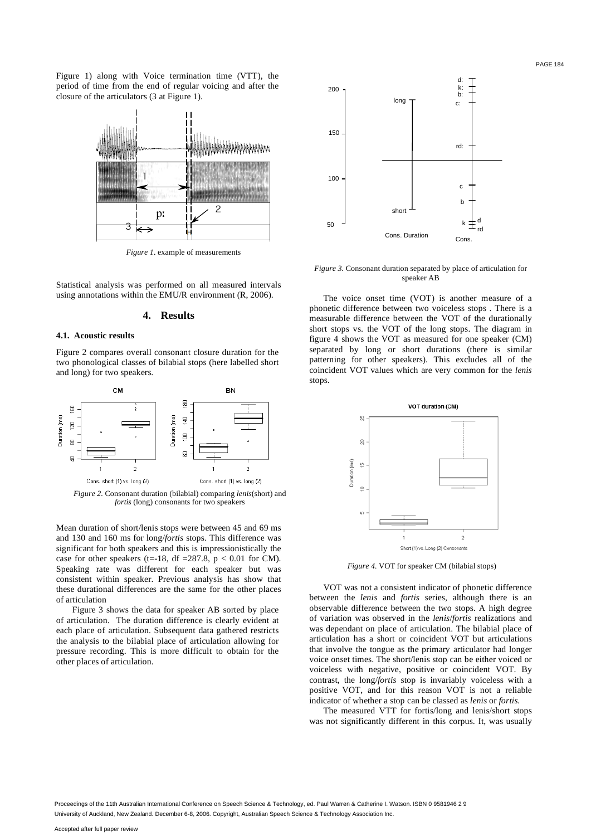Figure 1) along with Voice termination time (VTT), the period of time from the end of regular voicing and after the closure of the articulators (3 at Figure 1).



*Figure 1*. example of measurements

Statistical analysis was performed on all measured intervals using annotations within the EMU/R environment (R, 2006).

# **4. Results**

#### **4.1. Acoustic results**

Figure 2 compares overall consonant closure duration for the two phonological classes of bilabial stops (here labelled short and long) for two speakers.



*Figure 2.* Consonant duration (bilabial) comparing *lenis*(short) and *fortis* (long) consonants for two speakers

Mean duration of short/lenis stops were between 45 and 69 ms and 130 and 160 ms for long/*fortis* stops. This difference was significant for both speakers and this is impressionistically the case for other speakers (t=-18, df =287.8,  $p < 0.01$  for CM). Speaking rate was different for each speaker but was consistent within speaker. Previous analysis has show that these durational differences are the same for the other places of articulation

 Figure 3 shows the data for speaker AB sorted by place of articulation. The duration difference is clearly evident at each place of articulation. Subsequent data gathered restricts the analysis to the bilabial place of articulation allowing for pressure recording. This is more difficult to obtain for the other places of articulation.



*Figure 3.* Consonant duration separated by place of articulation for speaker AB

The voice onset time (VOT) is another measure of a phonetic difference between two voiceless stops . There is a measurable difference between the VOT of the durationally short stops vs. the VOT of the long stops. The diagram in figure 4 shows the VOT as measured for one speaker (CM) separated by long or short durations (there is similar patterning for other speakers). This excludes all of the coincident VOT values which are very common for the *lenis* stops.



*Figure 4.* VOT for speaker CM (bilabial stops)

VOT was not a consistent indicator of phonetic difference between the *lenis* and *fortis* series, although there is an observable difference between the two stops. A high degree of variation was observed in the *lenis*/*fortis* realizations and was dependant on place of articulation. The bilabial place of articulation has a short or coincident VOT but articulations that involve the tongue as the primary articulator had longer voice onset times. The short/lenis stop can be either voiced or voiceless with negative, positive or coincident VOT. By contrast, the long/*fortis* stop is invariably voiceless with a positive VOT, and for this reason VOT is not a reliable indicator of whether a stop can be classed as *lenis* or *fortis*.

The measured VTT for fortis/long and lenis/short stops was not significantly different in this corpus. It, was usually

PAGE 184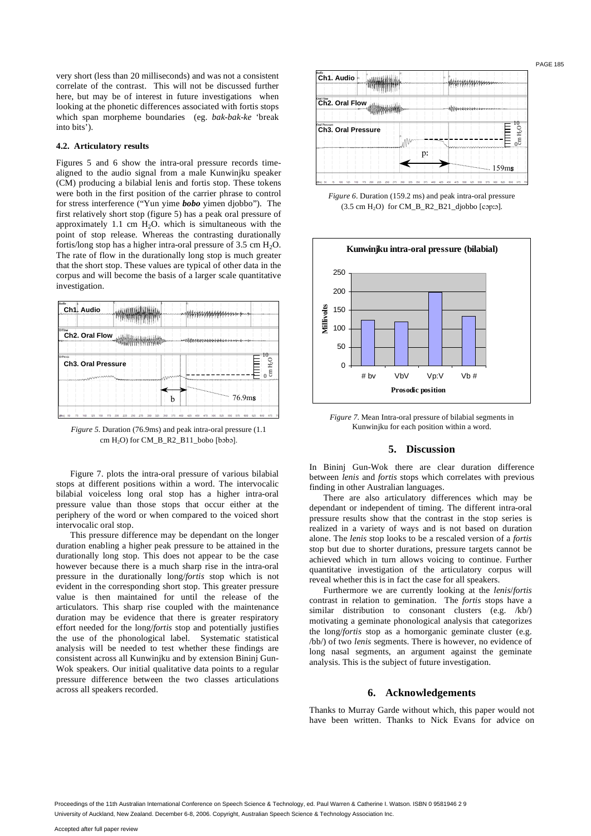very short (less than 20 milliseconds) and was not a consistent correlate of the contrast. This will not be discussed further here, but may be of interest in future investigations when looking at the phonetic differences associated with fortis stops which span morpheme boundaries (eg. *bak-bak-ke* 'break into bits').

## **4.2. Articulatory results**

Figures 5 and 6 show the intra-oral pressure records timealigned to the audio signal from a male Kunwinjku speaker (CM) producing a bilabial lenis and fortis stop. These tokens were both in the first position of the carrier phrase to control for stress interference ("Yun yime *bobo* yimen djobbo"). The first relatively short stop (figure 5) has a peak oral pressure of approximately 1.1 cm  $H_2O$ , which is simultaneous with the point of stop release. Whereas the contrasting durationally fortis/long stop has a higher intra-oral pressure of  $3.5 \text{ cm H}_2\text{O}$ . The rate of flow in the durationally long stop is much greater that the short stop. These values are typical of other data in the corpus and will become the basis of a larger scale quantitative investigation.

| Audio<br>Ch1. Audio                  |  |                                                    |  |
|--------------------------------------|--|----------------------------------------------------|--|
| O Flow<br>Ch2. Oral Flow             |  | لملوط ملحلحل والتقاط فليقظ فالملاق ومحا            |  |
| O Press<br><b>Ch3. Oral Pressure</b> |  | $\theta$<br>cm H                                   |  |
| <b><i><u>ERENTANAN</u></i></b>       |  | $\Omega$<br>السناسية سابستها<br>76.9 <sub>ms</sub> |  |
|                                      |  |                                                    |  |



Figure 7. plots the intra-oral pressure of various bilabial stops at different positions within a word. The intervocalic bilabial voiceless long oral stop has a higher intra-oral pressure value than those stops that occur either at the periphery of the word or when compared to the voiced short intervocalic oral stop.

This pressure difference may be dependant on the longer duration enabling a higher peak pressure to be attained in the durationally long stop. This does not appear to be the case however because there is a much sharp rise in the intra-oral pressure in the durationally long/*fortis* stop which is not evident in the corresponding short stop. This greater pressure value is then maintained for until the release of the articulators. This sharp rise coupled with the maintenance duration may be evidence that there is greater respiratory effort needed for the long/*fortis* stop and potentially justifies the use of the phonological label. Systematic statistical analysis will be needed to test whether these findings are consistent across all Kunwinjku and by extension Bininj Gun-Wok speakers. Our initial qualitative data points to a regular pressure difference between the two classes articulations across all speakers recorded.







*Figure 7.* Mean Intra-oral pressure of bilabial segments in Kunwinjku for each position within a word.

## **5. Discussion**

In Bininj Gun-Wok there are clear duration difference between *lenis* and *fortis* stops which correlates with previous finding in other Australian languages.

There are also articulatory differences which may be dependant or independent of timing. The different intra-oral pressure results show that the contrast in the stop series is realized in a variety of ways and is not based on duration alone. The *lenis* stop looks to be a rescaled version of a *fortis* stop but due to shorter durations, pressure targets cannot be achieved which in turn allows voicing to continue. Further quantitative investigation of the articulatory corpus will reveal whether this is in fact the case for all speakers.

Furthermore we are currently looking at the *lenis*/*fortis* contrast in relation to gemination. The *fortis* stops have a similar distribution to consonant clusters (e.g. /kb/) motivating a geminate phonological analysis that categorizes the long/*fortis* stop as a homorganic geminate cluster (e.g. /bb/) of two *lenis* segments. There is however, no evidence of long nasal segments, an argument against the geminate analysis. This is the subject of future investigation.

#### **6. Acknowledgements**

Thanks to Murray Garde without which, this paper would not have been written. Thanks to Nick Evans for advice on

PAGE 185